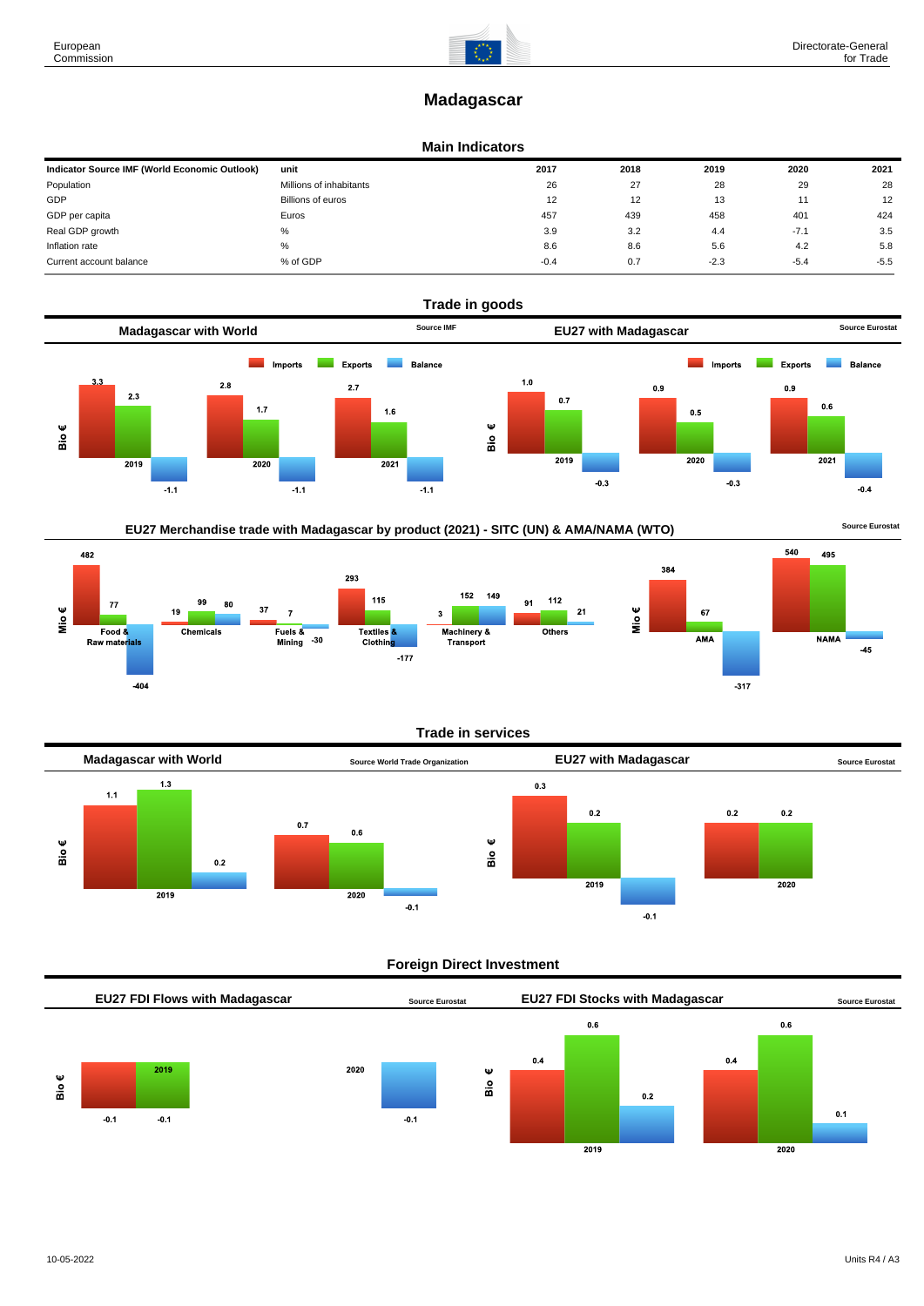# **Madagascar**

### **Main Indicators**

| Indicator Source IMF (World Economic Outlook) | unit                    | 2017   | 2018 | 2019   | 2020   | 2021   |
|-----------------------------------------------|-------------------------|--------|------|--------|--------|--------|
| Population                                    | Millions of inhabitants | 26     | 27   | 28     | 29     | 28     |
| GDP                                           | Billions of euros       | 12     | 12   | 13     |        | 12     |
| GDP per capita                                | Euros                   | 457    | 439  | 458    | 401    | 424    |
| Real GDP growth                               | %                       | 3.9    | 3.2  | 4.4    | $-7.1$ | 3.5    |
| Inflation rate                                | $\%$                    | 8.6    | 8.6  | 5.6    | 4.2    | 5.8    |
| Current account balance                       | % of GDP                | $-0.4$ | 0.7  | $-2.3$ | $-5.4$ | $-5.5$ |



# EU27 Merchandise trade with Madagascar by product (2021) - SITC (UN) & AMA/NAMA (WTO) **Source Eurostat**





Mio€

#### **Trade in services**



#### **Foreign Direct Investment**